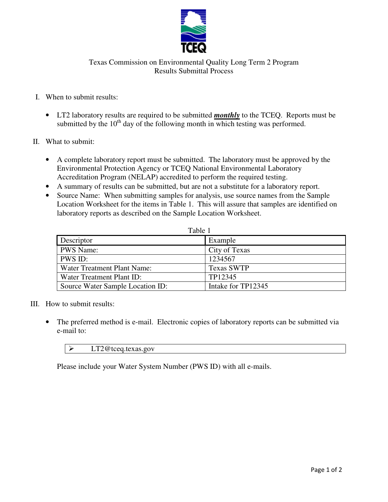

 Texas Commission on Environmental Quality Long Term 2 Program Results Submittal Process

## I. When to submit results:

- • LT2 laboratory results are required to be submitted *monthly* to the TCEQ. Reports must be submitted by the  $10<sup>th</sup>$  day of the following month in which testing was performed.
- II. What to submit:
	- • A complete laboratory report must be submitted. The laboratory must be approved by the Environmental Protection Agency or TCEQ National Environmental Laboratory Accreditation Program (NELAP) accredited to perform the required testing.
	- A summary of results can be submitted, but are not a substitute for a laboratory report.
	- • Source Name: When submitting samples for analysis, use source names from the Sample Location Worksheet for the items in Table 1. This will assure that samples are identified on laboratory reports as described on the Sample Location Worksheet.

| I<br>٠ |  |  |  |
|--------|--|--|--|
|--------|--|--|--|

| Descriptor                       | Example            |
|----------------------------------|--------------------|
| <b>PWS</b> Name:                 | City of Texas      |
| PWS ID:                          | 1234567            |
| Water Treatment Plant Name:      | <b>Texas SWTP</b>  |
| Water Treatment Plant ID:        | TP12345            |
| Source Water Sample Location ID: | Intake for TP12345 |

- III. How to submit results:
	- • The preferred method is e-mail. Electronic copies of laboratory reports can be submitted via e-mail to:

LT2@tceq.texas.gov

▶ [LT2@tceq.texas.gov](mailto:LT2@tceq.texas.gov)<br>Please include your Water System Number (PWS ID) with all e-mails.